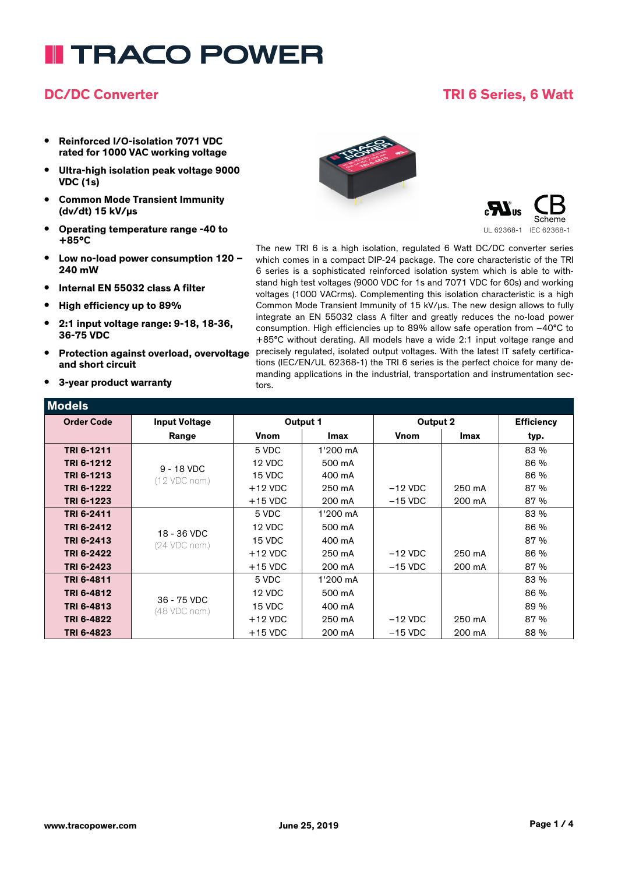# **I TRACO POWER**

#### **DC/DC Converter TRI 6 Series, 6 Watt**

- **• Reinforced I/O-isolation 7071 VDC rated for 1000 VAC working voltage**
- **• Ultra-high isolation peak voltage 9000 VDC (1s)**
- **• Common Mode Transient Immunity (dv/dt) 15 kV/µs**
- **• Operating temperature range -40 to +85°C**
- **• Low no-load power consumption 120 – 240 mW**
- **• Internal EN 55032 class A filter**
- **• High efficiency up to 89%**
- **• 2:1 input voltage range: 9-18, 18-36, 36-75 VDC**
- **• Protection against overload, overvoltage and short circuit**
- **• 3-year product warranty**





The new TRI 6 is a high isolation, regulated 6 Watt DC/DC converter series which comes in a compact DIP-24 package. The core characteristic of the TRI 6 series is a sophisticated reinforced isolation system which is able to withstand high test voltages (9000 VDC for 1s and 7071 VDC for 60s) and working voltages (1000 VACrms). Complementing this isolation characteristic is a high Common Mode Transient Immunity of 15 kV/us. The new design allows to fully integrate an EN 55032 class A filter and greatly reduces the no-load power consumption. High efficiencies up to 89% allow safe operation from –40°C to +85°C without derating. All models have a wide 2:1 input voltage range and precisely regulated, isolated output voltages. With the latest IT safety certifications (IEC/EN/UL 62368-1) the TRI 6 series is the perfect choice for many demanding applications in the industrial, transportation and instrumentation sectors.

| Models            |                               |             |          |             |        |                   |
|-------------------|-------------------------------|-------------|----------|-------------|--------|-------------------|
| <b>Order Code</b> | <b>Input Voltage</b>          | Output 1    |          | Output 2    |        | <b>Efficiency</b> |
|                   | Range                         | <b>Vnom</b> | Imax     | <b>Vnom</b> | Imax   | typ.              |
| TRI 6-1211        | $9 - 18$ VDC<br>(12 VDC nom.) | 5 VDC       | 1'200 mA |             |        | 83 %              |
| TRI 6-1212        |                               | 12 VDC      | 500 mA   |             |        | 86 %              |
| TRI 6-1213        |                               | 15 VDC      | 400 mA   |             |        | 86 %              |
| TRI 6-1222        |                               | $+12$ VDC   | 250 mA   | $-12$ VDC   | 250 mA | 87 %              |
| TRI 6-1223        |                               | $+15$ VDC   | 200 mA   | $-15$ VDC   | 200 mA | 87 %              |
| TRI 6-2411        | 18 - 36 VDC<br>(24 VDC nom.)  | 5 VDC       | 1'200 mA |             |        | 83 %              |
| TRI 6-2412        |                               | 12 VDC      | 500 mA   |             |        | 86 %              |
| TRI 6-2413        |                               | 15 VDC      | 400 mA   |             |        | 87 %              |
| TRI 6-2422        |                               | $+12$ VDC   | 250 mA   | $-12$ VDC   | 250 mA | 86 %              |
| TRI 6-2423        |                               | $+15$ VDC   | 200 mA   | $-15$ VDC   | 200 mA | 87 %              |
| TRI 6-4811        | 36 - 75 VDC<br>(48 VDC nom.)  | 5 VDC       | 1'200 mA |             |        | 83 %              |
| TRI 6-4812        |                               | 12 VDC      | 500 mA   |             |        | 86 %              |
| TRI 6-4813        |                               | 15 VDC      | 400 mA   |             |        | 89 %              |
| TRI 6-4822        |                               | $+12$ VDC   | 250 mA   | $-12$ VDC   | 250 mA | 87 %              |
| TRI 6-4823        |                               | $+15$ VDC   | 200 mA   | $-15$ VDC   | 200 mA | 88 %              |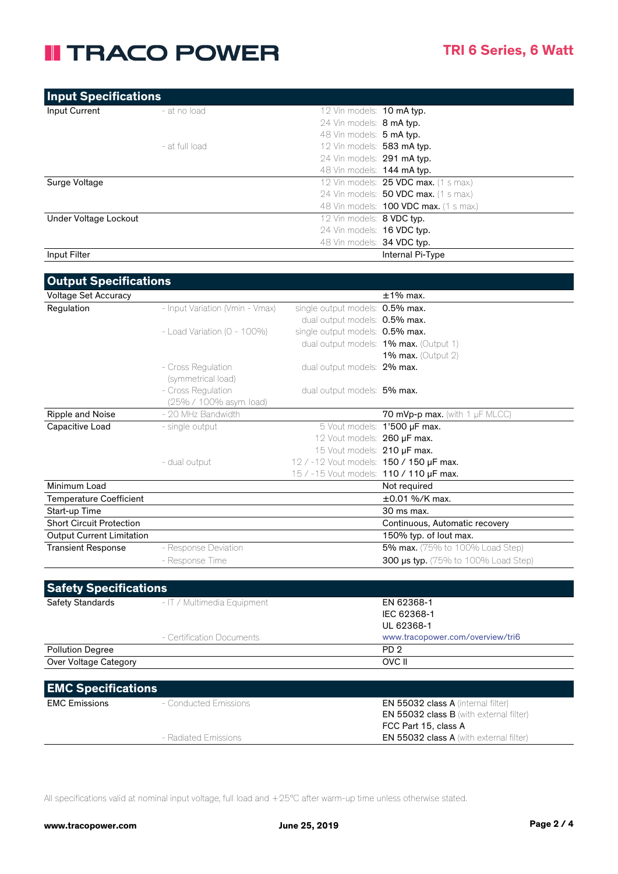### **II TRACO POWER**

| <b>Input Specifications</b>      |                                 |                                                            |                                                |
|----------------------------------|---------------------------------|------------------------------------------------------------|------------------------------------------------|
| Input Current                    | - at no load                    | 12 Vin models: 10 mA typ.                                  |                                                |
|                                  |                                 | 24 Vin models: 8 mA typ.                                   |                                                |
|                                  |                                 | 48 Vin models: 5 mA typ.                                   |                                                |
|                                  | - at full load                  | 12 Vin models: 583 mA typ.                                 |                                                |
|                                  |                                 | 24 Vin models: 291 mA typ.                                 |                                                |
|                                  |                                 | 48 Vin models: 144 mA typ.                                 |                                                |
| Surge Voltage                    |                                 |                                                            | 12 Vin models: 25 VDC max. (1 s max.)          |
|                                  |                                 |                                                            | 24 Vin models: 50 VDC max. (1 s max.)          |
|                                  |                                 |                                                            | 48 Vin models: 100 VDC max. (1 s max.)         |
| Under Voltage Lockout            |                                 | 12 Vin models: 8 VDC typ.                                  |                                                |
|                                  |                                 | 24 Vin models: 16 VDC typ.                                 |                                                |
|                                  |                                 | 48 Vin models: 34 VDC typ.                                 |                                                |
| Input Filter                     |                                 |                                                            | Internal Pi-Type                               |
| <b>Output Specifications</b>     |                                 |                                                            |                                                |
| Voltage Set Accuracy             |                                 |                                                            | $±1\%$ max.                                    |
| Regulation                       | - Input Variation (Vmin - Vmax) | single output models: 0.5% max.                            |                                                |
|                                  |                                 | dual output models: 0.5% max.                              |                                                |
|                                  | - Load Variation (0 - 100%)     | single output models: 0.5% max.                            |                                                |
|                                  |                                 |                                                            | dual output models: 1% max. (Output 1)         |
|                                  |                                 |                                                            | 1% max. (Output $2$ )                          |
|                                  | - Cross Regulation              | dual output models: 2% max.                                |                                                |
|                                  | (symmetrical load)              |                                                            |                                                |
|                                  | - Cross Regulation              | dual output models: 5% max.                                |                                                |
|                                  | (25% / 100% asym. load)         |                                                            |                                                |
| Ripple and Noise                 | - 20 MHz Bandwidth              |                                                            | 70 mVp-p max. (with 1 $\mu$ F MLCC)            |
| Capacitive Load                  | - single output                 |                                                            | 5 Vout models: 1'500 µF max.                   |
|                                  |                                 | 12 Vout models: 260 µF max.<br>15 Vout models: 210 µF max. |                                                |
|                                  | - dual output                   | 12 / -12 Vout models: 150 / 150 µF max.                    |                                                |
|                                  |                                 | 15 / -15 Vout models: 110 / 110 µF max.                    |                                                |
| Minimum Load                     |                                 |                                                            | Not required                                   |
| <b>Temperature Coefficient</b>   |                                 |                                                            | $\pm 0.01$ %/K max.                            |
| Start-up Time                    |                                 |                                                            | 30 ms max.                                     |
| <b>Short Circuit Protection</b>  |                                 |                                                            | Continuous, Automatic recovery                 |
| <b>Output Current Limitation</b> |                                 |                                                            | 150% typ. of lout max.                         |
| <b>Transient Response</b>        | - Response Deviation            |                                                            | 5% max. (75% to 100% Load Step)                |
|                                  | - Response Time                 |                                                            | <b>300 µs typ.</b> (75% to 100% Load Step)     |
|                                  |                                 |                                                            |                                                |
| <b>Safety Specifications</b>     |                                 |                                                            |                                                |
| Safety Standards                 | - IT / Multimedia Equipment     |                                                            | EN 62368-1                                     |
|                                  |                                 |                                                            | IEC 62368-1                                    |
|                                  |                                 |                                                            | UL 62368-1                                     |
|                                  | - Certification Documents       |                                                            | www.tracopower.com/overview/tri6               |
| <b>Pollution Degree</b>          |                                 |                                                            | PD <sub>2</sub>                                |
| Over Voltage Category            |                                 |                                                            | OVC II                                         |
|                                  |                                 |                                                            |                                                |
| <b>EMC Specifications</b>        |                                 |                                                            |                                                |
| <b>EMC Emissions</b>             | - Conducted Emissions           |                                                            | <b>EN 55032 class A (internal filter)</b>      |
|                                  |                                 |                                                            | <b>EN 55032 class B</b> (with external filter) |
|                                  |                                 |                                                            | FCC Part 15, class A                           |
|                                  | - Radiated Emissions            |                                                            | EN 55032 class A (with external filter)        |

All specifications valid at nominal input voltage, full load and +25°C after warm-up time unless otherwise stated.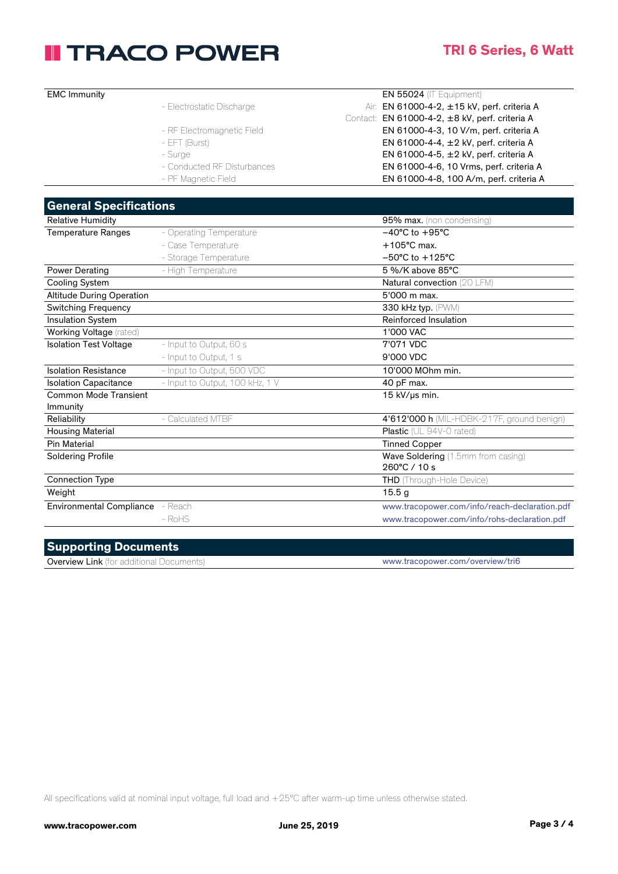## **II TRACO POWER**

#### **TRI 6 Series, 6 Watt**

| <b>EMC Immunity</b>                            |                                 | EN 55024 (IT Equipment)                                                |
|------------------------------------------------|---------------------------------|------------------------------------------------------------------------|
|                                                | - Electrostatic Discharge       | Air: EN 61000-4-2, ±15 kV, perf. criteria A                            |
|                                                |                                 | Contact: EN 61000-4-2, ±8 kV, perf. criteria A                         |
|                                                | - RF Electromagnetic Field      | EN 61000-4-3, 10 V/m, perf. criteria A                                 |
|                                                | - EFT (Burst)                   | EN 61000-4-4, ±2 kV, perf. criteria A                                  |
|                                                | - Surge                         | EN 61000-4-5, ±2 kV, perf. criteria A                                  |
|                                                | - Conducted RF Disturbances     | EN 61000-4-6, 10 Vrms, perf. criteria A                                |
|                                                | - PF Magnetic Field             | EN 61000-4-8, 100 A/m, perf. criteria A                                |
|                                                |                                 |                                                                        |
| <b>General Specifications</b>                  |                                 |                                                                        |
| <b>Relative Humidity</b>                       |                                 | 95% max. (non condensing)                                              |
| Temperature Ranges                             | - Operating Temperature         | $-40^{\circ}$ C to $+95^{\circ}$ C                                     |
|                                                | - Case Temperature              | $+105^{\circ}$ C max.                                                  |
|                                                | - Storage Temperature           | $-50^{\circ}$ C to $+125^{\circ}$ C                                    |
| <b>Power Derating</b>                          | - High Temperature              | 5 %/K above 85°C                                                       |
| <b>Cooling System</b>                          |                                 | Natural convection (20 LFM)                                            |
| <b>Altitude During Operation</b>               |                                 | 5'000 m max.                                                           |
| <b>Switching Frequency</b>                     |                                 | 330 kHz typ. (PWM)                                                     |
| <b>Insulation System</b>                       |                                 | Reinforced Insulation                                                  |
| <b>Working Voltage (rated)</b>                 |                                 | 1'000 VAC                                                              |
| <b>Isolation Test Voltage</b>                  | - Input to Output, 60 s         | 7'071 VDC                                                              |
|                                                | - Input to Output, 1 s          | 9'000 VDC                                                              |
| <b>Isolation Resistance</b>                    | - Input to Output, 500 VDC      | 10'000 MOhm min.                                                       |
| <b>Isolation Capacitance</b>                   | - Input to Output, 100 kHz, 1 V | 40 pF max.                                                             |
| <b>Common Mode Transient</b>                   |                                 | 15 kV/us min.                                                          |
| Immunity                                       | - Calculated MTBF               |                                                                        |
| Reliability                                    |                                 | 4'612'000 h (MIL-HDBK-217F, ground benign)<br>Plastic (UL 94V-0 rated) |
| <b>Housing Material</b><br><b>Pin Material</b> |                                 |                                                                        |
|                                                |                                 | Tinned Copper<br>Wave Soldering (1.5mm from casing)                    |
| <b>Soldering Profile</b>                       |                                 | 260°C / 10 s                                                           |
| <b>Connection Type</b>                         |                                 | THD (Through-Hole Device)                                              |
| Weight                                         |                                 | 15.5 <sub>g</sub>                                                      |
|                                                |                                 |                                                                        |
| Environmental Compliance - Reach               |                                 | www.tracopower.com/info/reach-declaration.pdf                          |
|                                                | - RoHS                          | www.tracopower.com/info/rohs-declaration.pdf                           |
|                                                |                                 |                                                                        |

### **Supporting Documents**

Overview Link (for additional Documents) www.tracopower.com/overview/tri6

All specifications valid at nominal input voltage, full load and +25°C after warm-up time unless otherwise stated.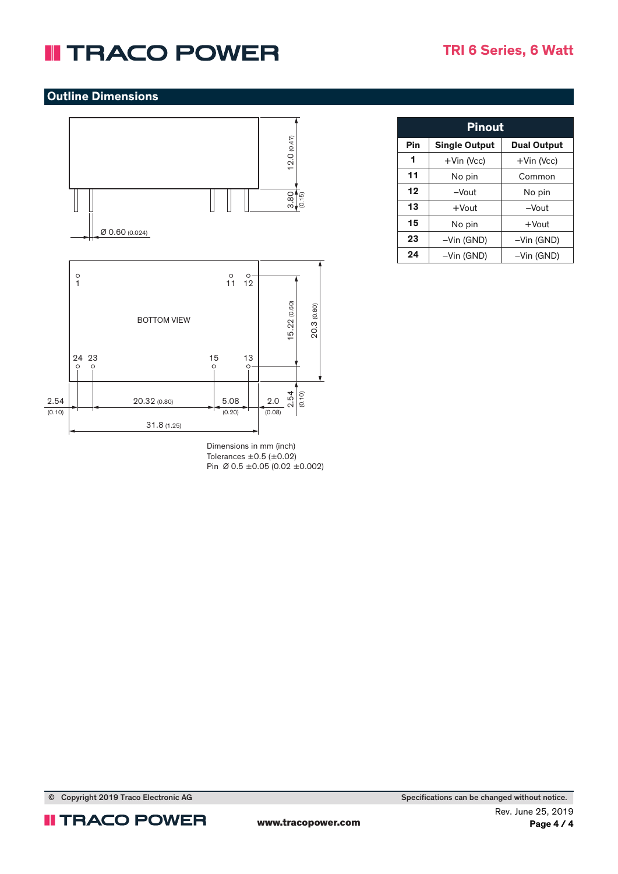### **II TRACO POWER**

#### **Outline Dimensions**



Dimensions in mm (inch) Tolerances  $\pm 0.5$  ( $\pm 0.02$ ) Pin Ø 0.5 ±0.05 (0.02 ±0.002)

| <b>Pinout</b> |                      |                    |  |  |  |
|---------------|----------------------|--------------------|--|--|--|
| Pin           | <b>Single Output</b> | <b>Dual Output</b> |  |  |  |
| 1             | $+$ Vin (Vcc)        | $+V$ in (Vcc)      |  |  |  |
| 11            | No pin               | Common             |  |  |  |
| 12            | $-V$ out             | No pin             |  |  |  |
| 13            | $+$ Vout             | $-V$ $out$         |  |  |  |
| 15            | No pin               | $+$ Vout           |  |  |  |
| 23            | -Vin (GND)           | -Vin (GND)         |  |  |  |
| 24            | -Vin (GND)           | -Vin (GND)         |  |  |  |



Copyright 2019 Traco Electronic AG Specifications can be changed without notice.